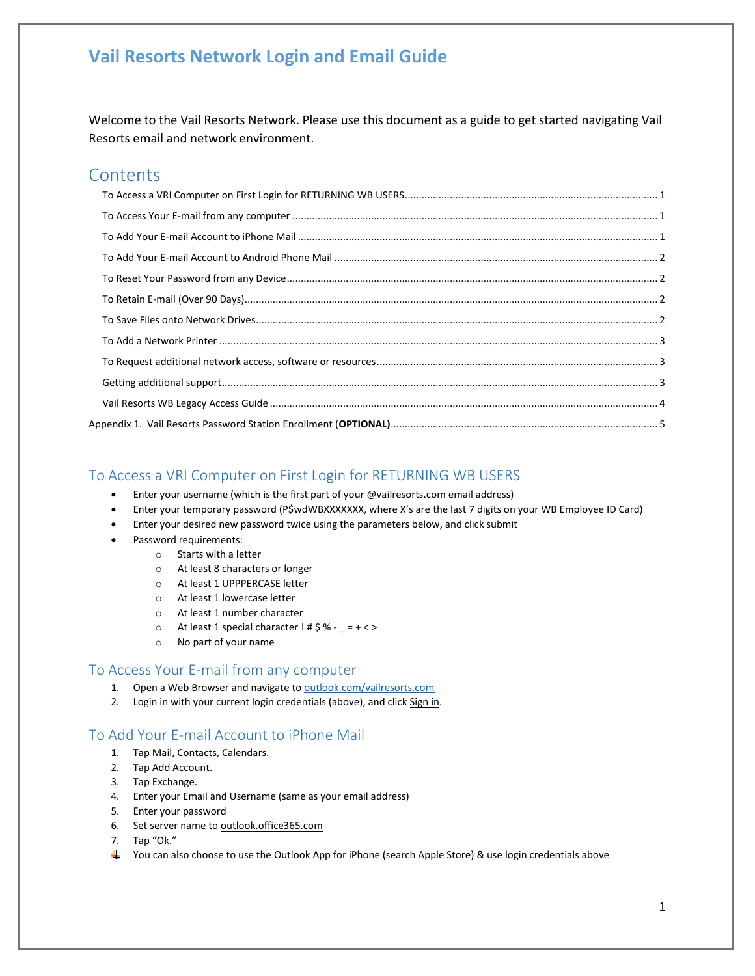Welcome to the Vail Resorts Network. Please use this document as a guide to get started navigating Vail Resorts email and network environment.

### **Contents**

#### <span id="page-0-0"></span>To Access a VRI Computer on First Login for RETURNING WB USERS

- Enter your username (which is the first part of your @vailresorts.com email address)
- Enter your temporary password (P\$wdWBXXXXXXX, where X's are the last 7 digits on your WB Employee ID Card)
- Enter your desired new password twice using the parameters below, and click submit
- Password requirements:
	- o Starts with a letter
	- o At least 8 characters or longer
	- o At least 1 UPPPERCASE letter
	- o At least 1 lowercase letter
	- o At least 1 number character
	- $\circ$  At least 1 special character ! # \$ % \_ = + < >
	- o No part of your name

#### <span id="page-0-1"></span>To Access Your E-mail from any computer

- 1. Open a Web Browser and navigate to **outlook.com/vailresorts.com**
- 2. Login in with your current login credentials (above), and click Sign in.

#### <span id="page-0-2"></span>To Add Your E-mail Account to iPhone Mail

- 1. Tap Mail, Contacts, Calendars.
- 2. Tap Add Account.
- 3. Tap Exchange.
- 4. Enter your Email and Username (same as your email address)
- 5. Enter your password
- 6. Set server name to outlook.office365.com
- 7. Tap "Ok."
- ↓ You can also choose to use the Outlook App for iPhone (search Apple Store) & use login credentials above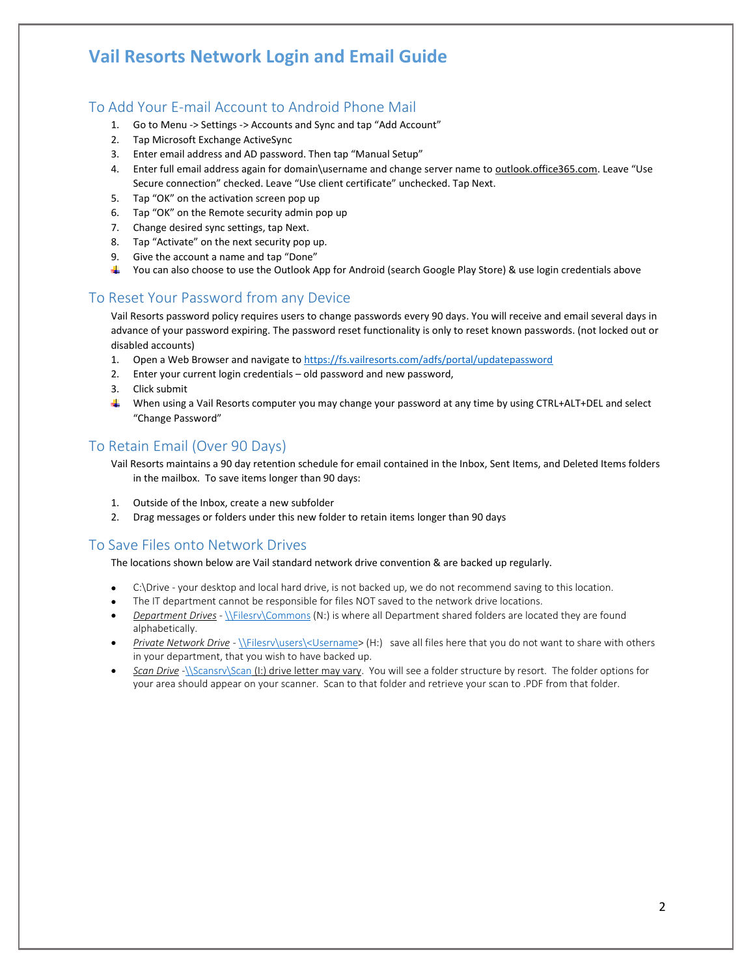#### <span id="page-1-0"></span>To Add Your E-mail Account to Android Phone Mail

- 1. Go to Menu -> Settings -> Accounts and Sync and tap "Add Account"
- 2. Tap Microsoft Exchange ActiveSync
- 3. Enter email address and AD password. Then tap "Manual Setup"
- 4. Enter full email address again for domain\username and change server name to outlook.office365.com. Leave "Use Secure connection" checked. Leave "Use client certificate" unchecked. Tap Next.
- 5. Tap "OK" on the activation screen pop up
- 6. Tap "OK" on the Remote security admin pop up
- 7. Change desired sync settings, tap Next.
- 8. Tap "Activate" on the next security pop up.
- 9. Give the account a name and tap "Done"
- $\ddotmark$  You can also choose to use the Outlook App for Android (search Google Play Store) & use login credentials above

#### <span id="page-1-1"></span>To Reset Your Password from any Device

Vail Resorts password policy requires users to change passwords every 90 days. You will receive and email several days in advance of your password expiring. The password reset functionality is only to reset known passwords. (not locked out or disabled accounts)

- 1. Open a Web Browser and navigate t[o https://fs.vailresorts.com/adfs/portal/updatepassword](https://fs.vailresorts.com/adfs/portal/updatepassword)
- 2. Enter your current login credentials old password and new password,
- 3. Click submit
- When using a Vail Resorts computer you may change your password at any time by using CTRL+ALT+DEL and select "Change Password"

#### <span id="page-1-2"></span>To Retain Email (Over 90 Days)

- Vail Resorts maintains a 90 day retention schedule for email contained in the Inbox, Sent Items, and Deleted Items folders in the mailbox. To save items longer than 90 days:
- 1. Outside of the Inbox, create a new subfolder
- 2. Drag messages or folders under this new folder to retain items longer than 90 days

#### <span id="page-1-3"></span>To Save Files onto Network Drives

The locations shown below are Vail standard network drive convention & are backed up regularly.

- C:\Drive your desktop and local hard drive, is not backed up, we do not recommend saving to this location.
- The IT department cannot be responsible for files NOT saved to the network drive locations.
- *Department Drives* [\\Filesrv\Commons](file://///Filesrv/Commons) (N:) is where all Department shared folders are located they are found alphabetically.
- *Private Network Drive* [\\Filesrv\users\<Username>](file://///Filesrv/users/%3cUsername) (H:) save all files here that you do not want to share with others in your department, that you wish to have backed up.
- *Scan Drive* [-\\Scansrv\Scan](file://///Scansrv/Scan) (I:) drive letter may vary. You will see a folder structure by resort. The folder options for your area should appear on your scanner. Scan to that folder and retrieve your scan to .PDF from that folder.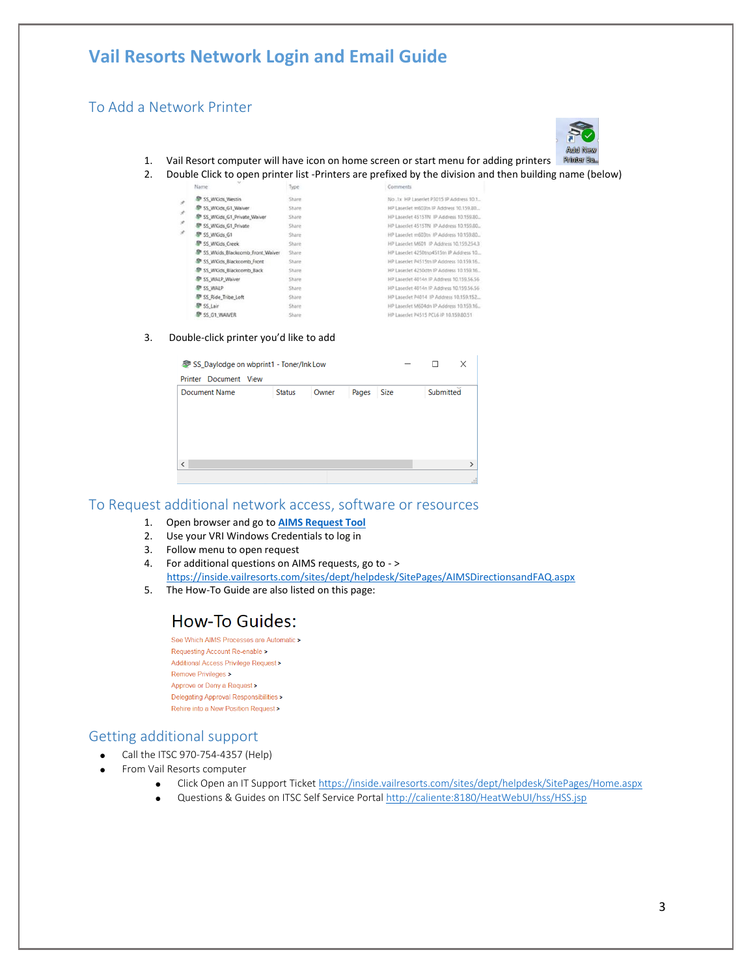#### <span id="page-2-0"></span>To Add a Network Printer



- 1. Vail Resort computer will have icon on home screen or start menu for adding printers
- 2. Double Click to open printer list -Printers are prefixed by the division and then building name (below)

|    | Name:                              | Type:  | Comments                                  |
|----|------------------------------------|--------|-------------------------------------------|
| ž. | SS WKids Westin                    | Share  | No.1x HP LaserJet P3015 IP Address 10.1.  |
| ×  | SS WKids G1 Waiver                 | Share  | HP LaserJet m603tn IP Address 10.159.80   |
|    | SS WKids G1 Private Waiver         | Share  | HP LaserJet 4515TN IP Address 10.159.80   |
| ×  | SP SS WKids G1 Private             | Share  | HP LaserJet 4515TN IP Address 10.159.80.  |
| ×  | SS WKids G1                        | Share  | HP LaserJet m603tn IP Address 10.159.80   |
|    | SS WKids Creek                     | Share  | HP LaserJet M601 IP Address 10.159.254.3  |
|    | SF SS Wkids Blackcomb Front Waiver | Share  | HP LaserJet 4250tnp4515tn IP Address 10.  |
|    | SS WKids Blackcomb Front           | Share  | HP Laserlet P4515tn IP Address 10.159.16  |
|    | SS_WKids_Blackcomb_Back            | Share  | HP Laseclet 4250dtn IP Address 10.159.16. |
|    | SS_WALP_Waiver                     | Share  | HP LaserJet 4014n IP Address 10.159.56.56 |
|    | SS WALP                            | Share  | HP LaserJet 4014n IP Address 10.159.56.56 |
|    | SS Ride Tribe Loft                 | Share: | HP LaserJet P4014 IP Address 10.159.152   |
|    | SP SS Lair                         | Share  | HP LaserJet M604dn IP Address 10.159.16   |
|    | SS G1 WAIVER                       | Share  | HP LaserJet P4515 PCL6 IP 10.159.80.51    |

#### 3. Double-click printer you'd like to add

| SS_Daylodge on wbprint1 - Toner/Ink Low |               |       |       |      | $\overline{\phantom{a}}$ | ш         | ×             |
|-----------------------------------------|---------------|-------|-------|------|--------------------------|-----------|---------------|
| Printer Document View                   |               |       |       |      |                          |           |               |
| <b>Document Name</b>                    | <b>Status</b> | Owner | Pages | Size |                          | Submitted |               |
|                                         |               |       |       |      |                          |           |               |
|                                         |               |       |       |      |                          |           |               |
|                                         |               |       |       |      |                          |           |               |
|                                         |               |       |       |      |                          |           |               |
| $\overline{\phantom{a}}$                |               |       |       |      |                          |           | $\rightarrow$ |
|                                         |               |       |       |      |                          |           |               |
|                                         |               |       |       |      |                          |           | $\mathbf{d}$  |

### <span id="page-2-1"></span>To Request additional network access, software or resources

- 1. Open browser and go to **[AIMS Request Tool](https://avatier.vailresorts.com/)**
- 2. Use your VRI Windows Credentials to log in
- 3. Follow menu to open request
- 4. For additional questions on AIMS requests, go to > <https://inside.vailresorts.com/sites/dept/helpdesk/SitePages/AIMSDirectionsandFAQ.aspx>
- 5. The How-To Guide are also listed on this page:

#### How-To Guides:

See Which AIMS Processes are Automatic > Requesting Account Re-enable > Additional Access Privilege Request> Remove Privileges > Approve or Deny a Request > Delegating Approval Responsibilities > Rehire into a New Position Request >

#### <span id="page-2-2"></span>Getting additional support

- Call the ITSC 970-754-4357 (Help)
- From Vail Resorts computer
	- Click Open an IT Support Ticket <https://inside.vailresorts.com/sites/dept/helpdesk/SitePages/Home.aspx>
	- Questions & Guides on ITSC Self Service Porta[l http://caliente:8180/HeatWebUI/hss/HSS.jsp](http://caliente:8180/HeatWebUI/hss/HSS.jsp)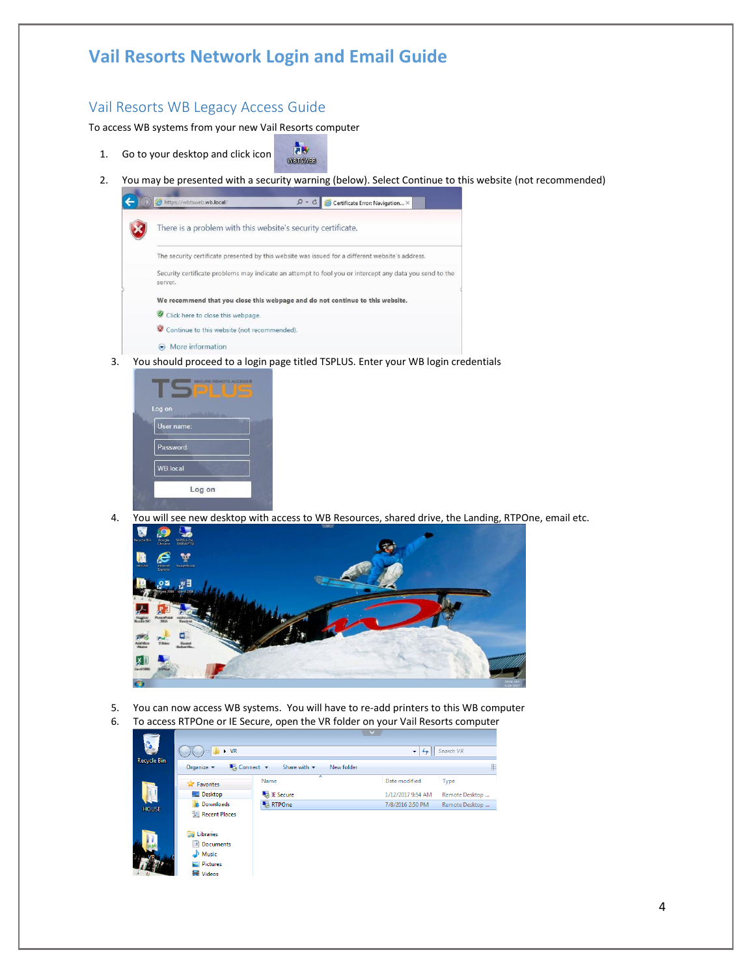### <span id="page-3-0"></span>Vail Resorts WB Legacy Access Guide

To access WB systems from your new Vail Resorts computer

- 1. Go to your desktop and click icon WEISWER
- 2. You may be presented with a security warning (below). Select Continue to this website (not recommended)

| There is a problem with this website's security certificate.                                                       |  |
|--------------------------------------------------------------------------------------------------------------------|--|
| The security certificate presented by this website was issued for a different website's address.                   |  |
| Security certificate problems may indicate an attempt to fool you or intercept any data you send to the<br>server. |  |
| We recommend that you close this webpage and do not continue to this website.                                      |  |
| Click here to close this webpage.                                                                                  |  |
| Continue to this website (not recommended).                                                                        |  |
| $\odot$ More information                                                                                           |  |

**as** 

3. You should proceed to a login page titled TSPLUS. Enter your WB login credentials



4. You will see new desktop with access to WB Resources, shared drive, the Landing, RTPOne, email etc.



- 5. You can now access WB systems. You will have to re-add printers to this WB computer
- 6. To access RTPOne or IE Secure, open the VR folder on your Vail Resorts computer

| G.           |                                                        |                                               |                   |                |
|--------------|--------------------------------------------------------|-----------------------------------------------|-------------------|----------------|
|              | $\triangleright$ VR                                    |                                               | ٠<br>$^{4+}$      | Search VR      |
| Recycle Bin  | $\sim$ Connect $\sim$<br>Organize $\blacktriangledown$ | Share with $\blacktriangledown$<br>New folder |                   | B              |
|              | <b>Ext</b> Favorites                                   | ⇁<br>Name                                     | Date modified     | Type           |
|              | Desktop                                                | <b>Exa</b> IE Secure                          | 1/12/2017 9:54 AM | Remote Desktop |
| <b>HOUSE</b> | <b>Downloads</b>                                       | RTPOne                                        | 7/8/2016 2:50 PM  | Remote Desktop |
|              | Recent Places                                          |                                               |                   |                |
|              | Ē.<br><b>Libraries</b>                                 |                                               |                   |                |
|              | B<br>Documents                                         |                                               |                   |                |
|              | Music                                                  |                                               |                   |                |
|              | Pictures                                               |                                               |                   |                |
|              | <b>Ed</b> Videos                                       |                                               |                   |                |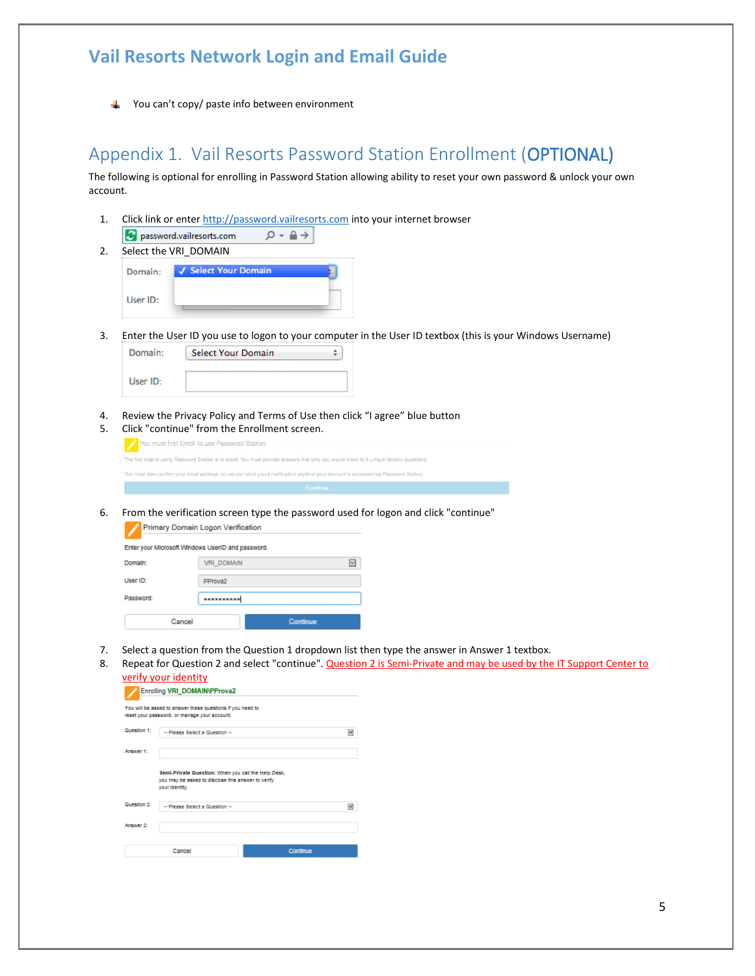You can't copy/ paste info between environment

### <span id="page-4-0"></span>Appendix 1. Vail Resorts Password Station Enrollment (OPTIONAL)

The following is optional for enrolling in Password Station allowing ability to reset your own password & unlock your own account.

- 1. Click link or ente[r http://password.vailresorts.com](http://password.vailresorts.com/) into your internet browser  $\rho - \triangleq \rightarrow$ password.vailresorts.com
- 2. Select the VRI\_DOMAIN

| Domain:  | √ Select Your Domain |  |
|----------|----------------------|--|
| User ID: |                      |  |

3. Enter the User ID you use to logon to your computer in the User ID textbox (this is your Windows Username)

| Domain:  | <b>Select Your Domain</b> | ۸ |
|----------|---------------------------|---|
| User ID: |                           |   |

4. Review the Privacy Policy and Terms of Use then click "I agree" blue button 5. Click "continue" from the Enrollment screen.

| <u>UIUR CUIRING TIURI RIC EN UNIICHE JUICHI</u>                                                                                          |
|------------------------------------------------------------------------------------------------------------------------------------------|
| You must first Enroll to use Password Station                                                                                            |
| The first step in using Password Station is to enroll. You must provide answers that only you would know to 3 unique identity questions. |
| You must also confirm your email address, so we can send you a notification anytime your account is accessed via Password Station.       |
|                                                                                                                                          |

6. From the verification screen type the password used for logon and click "continue" Primary Domain Logon Verification

| Enter your Microsoft Windows UserID and password. |                      |  |  |  |  |  |
|---------------------------------------------------|----------------------|--|--|--|--|--|
| Domain:                                           | VRI DOMAIN<br>$\sim$ |  |  |  |  |  |
| User ID:                                          | PProva2              |  |  |  |  |  |
| Password:                                         | **********           |  |  |  |  |  |
| Cancel                                            | Continue             |  |  |  |  |  |

- 7. Select a question from the Question 1 dropdown list then type the answer in Answer 1 textbox.
- 8. Repeat for Question 2 and select "continue". Question 2 is Semi-Private and may be used by the IT Support Center to verify your identity

|                          | You will be asked to answer these questions if you need to<br>reset your password, or manage your account.                  |   |
|--------------------------|-----------------------------------------------------------------------------------------------------------------------------|---|
| Question 1:              | -- Please Select a Question --                                                                                              | w |
| Answer 1:                |                                                                                                                             |   |
|                          |                                                                                                                             |   |
|                          | Semi-Private Question: When you call the Help Desk,<br>you may be asked to disclose this answer to verify<br>your identity. |   |
|                          | -- Please Select a Question --                                                                                              |   |
| Question 2:<br>Answer 2: |                                                                                                                             |   |